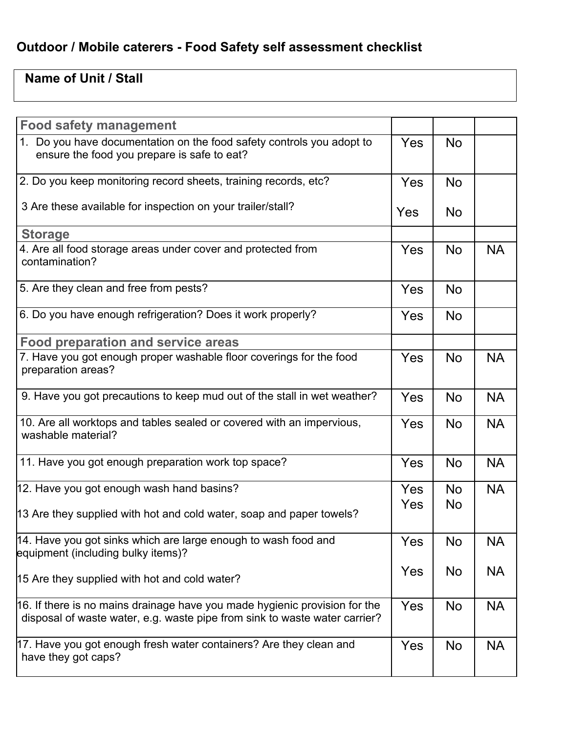## **Outdoor / Mobile caterers - Food Safety self assessment checklist**

## **Name of Unit / Stall**

| <b>Food safety management</b>                                                                                                                            |     |           |           |
|----------------------------------------------------------------------------------------------------------------------------------------------------------|-----|-----------|-----------|
| 1. Do you have documentation on the food safety controls you adopt to<br>ensure the food you prepare is safe to eat?                                     | Yes | <b>No</b> |           |
| 2. Do you keep monitoring record sheets, training records, etc?                                                                                          | Yes | <b>No</b> |           |
| 3 Are these available for inspection on your trailer/stall?                                                                                              | Yes | No.       |           |
| <b>Storage</b>                                                                                                                                           |     |           |           |
| 4. Are all food storage areas under cover and protected from<br>contamination?                                                                           | Yes | <b>No</b> | <b>NA</b> |
| 5. Are they clean and free from pests?                                                                                                                   | Yes | <b>No</b> |           |
| 6. Do you have enough refrigeration? Does it work properly?                                                                                              | Yes | <b>No</b> |           |
| <b>Food preparation and service areas</b>                                                                                                                |     |           |           |
| 7. Have you got enough proper washable floor coverings for the food<br>preparation areas?                                                                | Yes | No        | <b>NA</b> |
| 9. Have you got precautions to keep mud out of the stall in wet weather?                                                                                 | Yes | <b>No</b> | <b>NA</b> |
| 10. Are all worktops and tables sealed or covered with an impervious,<br>washable material?                                                              | Yes | <b>No</b> | <b>NA</b> |
| 11. Have you got enough preparation work top space?                                                                                                      | Yes | <b>No</b> | <b>NA</b> |
| 12. Have you got enough wash hand basins?                                                                                                                | Yes | <b>No</b> | <b>NA</b> |
| 13 Are they supplied with hot and cold water, soap and paper towels?                                                                                     | Yes | <b>No</b> |           |
| 14. Have you got sinks which are large enough to wash food and<br>equipment (including bulky items)?                                                     | Yes | No        | <b>NA</b> |
| 15 Are they supplied with hot and cold water?                                                                                                            | Yes | No        | <b>NA</b> |
| 16. If there is no mains drainage have you made hygienic provision for the<br>disposal of waste water, e.g. waste pipe from sink to waste water carrier? | Yes | No        | <b>NA</b> |
| 17. Have you got enough fresh water containers? Are they clean and<br>have they got caps?                                                                | Yes | <b>No</b> | <b>NA</b> |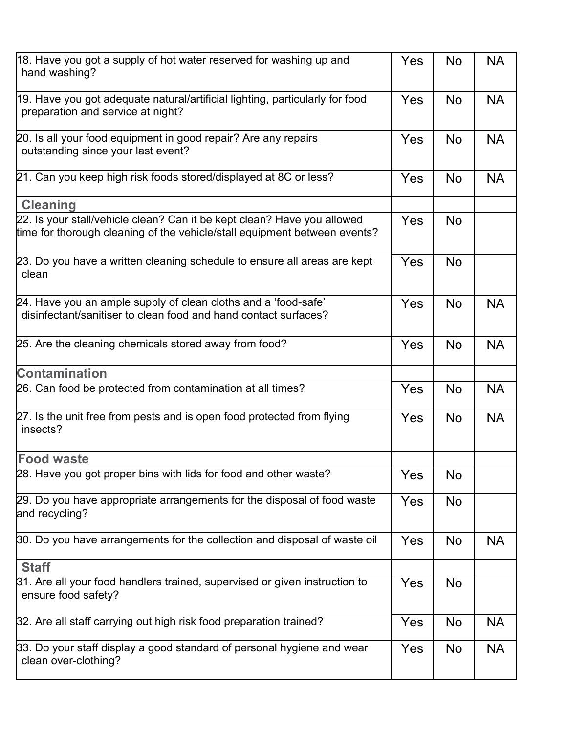| 18. Have you got a supply of hot water reserved for washing up and<br>hand washing?                                                                  |     | <b>No</b> | <b>NA</b> |
|------------------------------------------------------------------------------------------------------------------------------------------------------|-----|-----------|-----------|
| 19. Have you got adequate natural/artificial lighting, particularly for food<br>preparation and service at night?                                    | Yes | No        | <b>NA</b> |
| 20. Is all your food equipment in good repair? Are any repairs<br>outstanding since your last event?                                                 | Yes | <b>No</b> | <b>NA</b> |
| 21. Can you keep high risk foods stored/displayed at 8C or less?                                                                                     | Yes | <b>No</b> | <b>NA</b> |
| <b>Cleaning</b>                                                                                                                                      |     |           |           |
| 22. Is your stall/vehicle clean? Can it be kept clean? Have you allowed<br>time for thorough cleaning of the vehicle/stall equipment between events? | Yes | No        |           |
| 23. Do you have a written cleaning schedule to ensure all areas are kept<br>clean                                                                    | Yes | <b>No</b> |           |
| 24. Have you an ample supply of clean cloths and a 'food-safe'<br>disinfectant/sanitiser to clean food and hand contact surfaces?                    | Yes | <b>No</b> | <b>NA</b> |
| 25. Are the cleaning chemicals stored away from food?                                                                                                | Yes | <b>No</b> | <b>NA</b> |
| <b>Contamination</b>                                                                                                                                 |     |           |           |
| 26. Can food be protected from contamination at all times?                                                                                           | Yes | <b>No</b> | <b>NA</b> |
| 27. Is the unit free from pests and is open food protected from flying<br>insects?                                                                   |     | <b>No</b> | <b>NA</b> |
| <b>Food waste</b>                                                                                                                                    |     |           |           |
| 28. Have you got proper bins with lids for food and other waste?                                                                                     |     | No        |           |
| 29. Do you have appropriate arrangements for the disposal of food waste<br>and recycling?                                                            | Yes | No        |           |
| 30. Do you have arrangements for the collection and disposal of waste oil                                                                            | Yes | No        | <b>NA</b> |
| <b>Staff</b>                                                                                                                                         |     |           |           |
| 31. Are all your food handlers trained, supervised or given instruction to<br>ensure food safety?                                                    |     | <b>No</b> |           |
| 32. Are all staff carrying out high risk food preparation trained?                                                                                   | Yes | No        | <b>NA</b> |
| 33. Do your staff display a good standard of personal hygiene and wear<br>clean over-clothing?                                                       |     | No        | <b>NA</b> |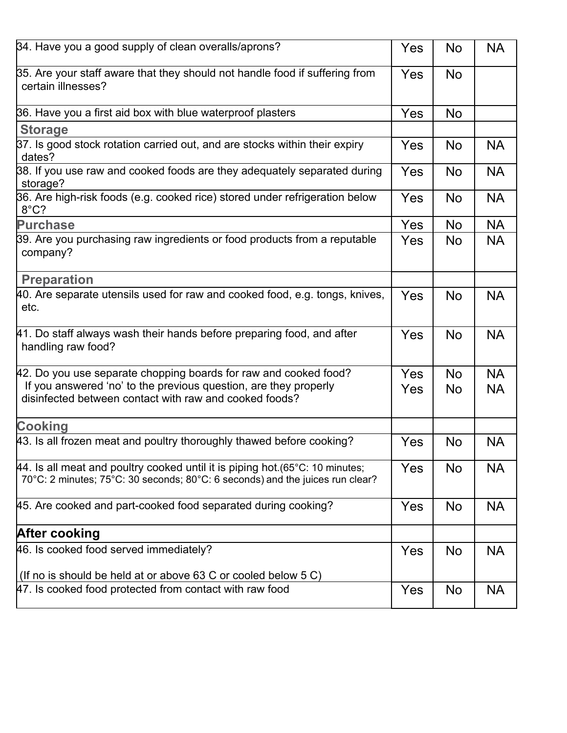| 34. Have you a good supply of clean overalls/aprons?                                                                                                                                           | Yes | <b>No</b>       | <b>NA</b>              |
|------------------------------------------------------------------------------------------------------------------------------------------------------------------------------------------------|-----|-----------------|------------------------|
| 35. Are your staff aware that they should not handle food if suffering from<br>certain illnesses?                                                                                              | Yes | No              |                        |
| 36. Have you a first aid box with blue waterproof plasters                                                                                                                                     | Yes | <b>No</b>       |                        |
| <b>Storage</b>                                                                                                                                                                                 |     |                 |                        |
| 37. Is good stock rotation carried out, and are stocks within their expiry<br>dates?                                                                                                           | Yes | <b>No</b>       | <b>NA</b>              |
| 38. If you use raw and cooked foods are they adequately separated during<br>storage?                                                                                                           | Yes | <b>No</b>       | <b>NA</b>              |
| 36. Are high-risk foods (e.g. cooked rice) stored under refrigeration below<br>$8^{\circ}$ C?                                                                                                  | Yes | <b>No</b>       | <b>NA</b>              |
| <b>Purchase</b>                                                                                                                                                                                | Yes | No              | <b>NA</b>              |
| 39. Are you purchasing raw ingredients or food products from a reputable<br>company?                                                                                                           | Yes | No              | <b>NA</b>              |
| <b>Preparation</b>                                                                                                                                                                             |     |                 |                        |
| 40. Are separate utensils used for raw and cooked food, e.g. tongs, knives,<br>etc.                                                                                                            | Yes | No              | <b>NA</b>              |
| 41. Do staff always wash their hands before preparing food, and after<br>handling raw food?                                                                                                    | Yes | <b>No</b>       | <b>NA</b>              |
| 42. Do you use separate chopping boards for raw and cooked food?<br>If you answered 'no' to the previous question, are they properly<br>disinfected between contact with raw and cooked foods? |     | <b>No</b><br>No | <b>NA</b><br><b>NA</b> |
| <b>Cooking</b>                                                                                                                                                                                 |     |                 |                        |
| 43. Is all frozen meat and poultry thoroughly thawed before cooking?                                                                                                                           | Yes | <b>No</b>       | <b>NA</b>              |
| $\mu$ 4. Is all meat and poultry cooked until it is piping hot (65°C: 10 minutes;<br>70°C: 2 minutes; 75°C: 30 seconds; 80°C: 6 seconds) and the juices run clear?                             | Yes | No              | <b>NA</b>              |
| 45. Are cooked and part-cooked food separated during cooking?                                                                                                                                  | Yes | No              | <b>NA</b>              |
| <b>After cooking</b>                                                                                                                                                                           |     |                 |                        |
| 46. Is cooked food served immediately?                                                                                                                                                         |     | <b>No</b>       | <b>NA</b>              |
| (If no is should be held at or above 63 C or cooled below 5 C)                                                                                                                                 |     |                 |                        |
| 47. Is cooked food protected from contact with raw food                                                                                                                                        | Yes | No              | <b>NA</b>              |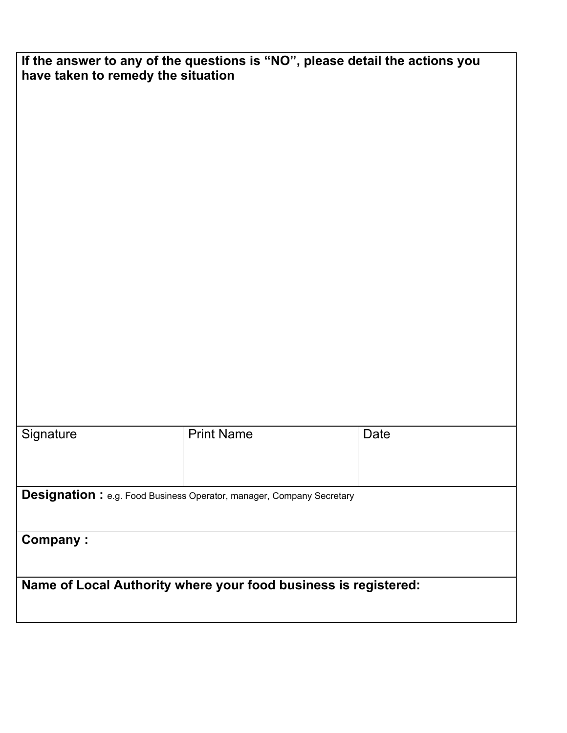| If the answer to any of the questions is "NO", please detail the actions you<br>have taken to remedy the situation |                   |      |  |
|--------------------------------------------------------------------------------------------------------------------|-------------------|------|--|
|                                                                                                                    |                   |      |  |
|                                                                                                                    |                   |      |  |
|                                                                                                                    |                   |      |  |
|                                                                                                                    |                   |      |  |
|                                                                                                                    |                   |      |  |
|                                                                                                                    |                   |      |  |
|                                                                                                                    |                   |      |  |
|                                                                                                                    |                   |      |  |
|                                                                                                                    |                   |      |  |
|                                                                                                                    |                   |      |  |
| Signature                                                                                                          | <b>Print Name</b> | Date |  |
|                                                                                                                    |                   |      |  |
| <b>Designation:</b> e.g. Food Business Operator, manager, Company Secretary                                        |                   |      |  |
| <b>Company:</b>                                                                                                    |                   |      |  |
|                                                                                                                    |                   |      |  |
| Name of Local Authority where your food business is registered:                                                    |                   |      |  |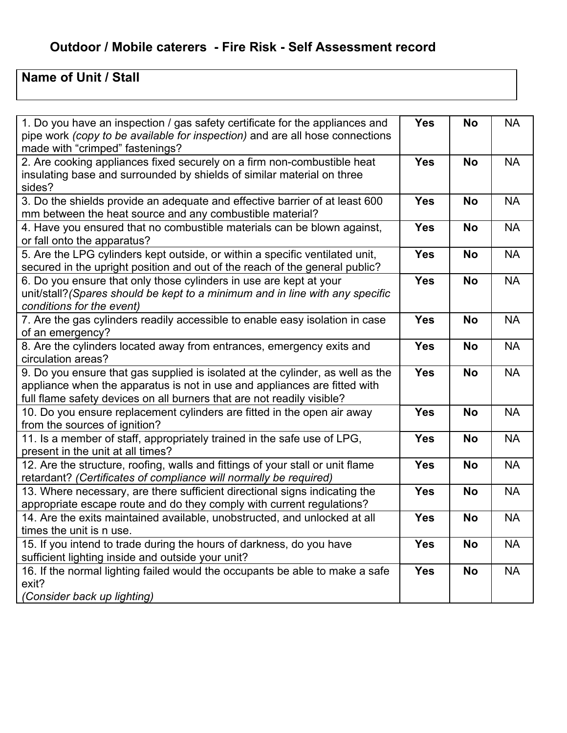## **Outdoor / Mobile caterers - Fire Risk - Self Assessment record**

## **Name of Unit / Stall**

| 1. Do you have an inspection / gas safety certificate for the appliances and<br>pipe work (copy to be available for inspection) and are all hose connections<br>made with "crimped" fastenings?                                       | <b>Yes</b> | <b>No</b> | <b>NA</b> |
|---------------------------------------------------------------------------------------------------------------------------------------------------------------------------------------------------------------------------------------|------------|-----------|-----------|
| 2. Are cooking appliances fixed securely on a firm non-combustible heat<br>insulating base and surrounded by shields of similar material on three<br>sides?                                                                           |            | <b>No</b> | <b>NA</b> |
| 3. Do the shields provide an adequate and effective barrier of at least 600<br>mm between the heat source and any combustible material?                                                                                               | <b>Yes</b> | <b>No</b> | <b>NA</b> |
| 4. Have you ensured that no combustible materials can be blown against,<br>or fall onto the apparatus?                                                                                                                                |            | <b>No</b> | <b>NA</b> |
| 5. Are the LPG cylinders kept outside, or within a specific ventilated unit,<br>secured in the upright position and out of the reach of the general public?                                                                           | <b>Yes</b> | <b>No</b> | <b>NA</b> |
| 6. Do you ensure that only those cylinders in use are kept at your<br>unit/stall? (Spares should be kept to a minimum and in line with any specific<br>conditions for the event)                                                      | <b>Yes</b> | <b>No</b> | <b>NA</b> |
| 7. Are the gas cylinders readily accessible to enable easy isolation in case<br>of an emergency?                                                                                                                                      | <b>Yes</b> | <b>No</b> | <b>NA</b> |
| 8. Are the cylinders located away from entrances, emergency exits and<br>circulation areas?                                                                                                                                           | <b>Yes</b> | <b>No</b> | <b>NA</b> |
| 9. Do you ensure that gas supplied is isolated at the cylinder, as well as the<br>appliance when the apparatus is not in use and appliances are fitted with<br>full flame safety devices on all burners that are not readily visible? | <b>Yes</b> | <b>No</b> | <b>NA</b> |
| 10. Do you ensure replacement cylinders are fitted in the open air away<br>from the sources of ignition?                                                                                                                              |            | <b>No</b> | <b>NA</b> |
| 11. Is a member of staff, appropriately trained in the safe use of LPG,<br>present in the unit at all times?                                                                                                                          |            | <b>No</b> | <b>NA</b> |
| 12. Are the structure, roofing, walls and fittings of your stall or unit flame<br>retardant? (Certificates of compliance will normally be required)                                                                                   |            | <b>No</b> | <b>NA</b> |
| 13. Where necessary, are there sufficient directional signs indicating the<br>appropriate escape route and do they comply with current regulations?                                                                                   |            | <b>No</b> | <b>NA</b> |
| 14. Are the exits maintained available, unobstructed, and unlocked at all<br>times the unit is n use.                                                                                                                                 |            | <b>No</b> | <b>NA</b> |
| 15. If you intend to trade during the hours of darkness, do you have<br>sufficient lighting inside and outside your unit?                                                                                                             |            | <b>No</b> | <b>NA</b> |
| 16. If the normal lighting failed would the occupants be able to make a safe<br>exit?<br>(Consider back up lighting)                                                                                                                  |            | <b>No</b> | <b>NA</b> |